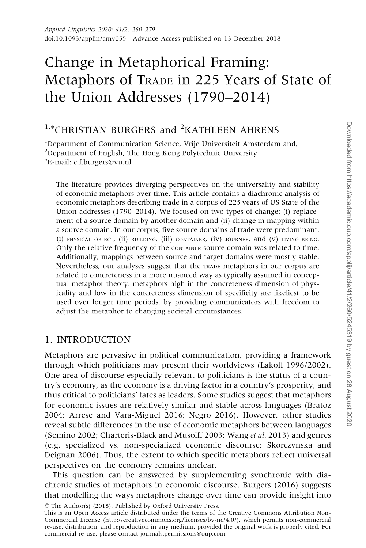# Change in Metaphorical Framing: Metaphors of TRADE in 225 Years of State of the Union Addresses (1790–2014)

## <sup>1,\*</sup>CHRISTIAN BURGERS and <sup>2</sup>KATHLEEN AHRENS

<sup>1</sup>Department of Communication Science, Vrije Universiteit Amsterdam and, <sup>2</sup>Department of English, The Hong Kong Polytechnic University - E-mail: c.f.burgers@vu.nl

The literature provides diverging perspectives on the universality and stability of economic metaphors over time. This article contains a diachronic analysis of economic metaphors describing trade in a corpus of 225 years of US State of the Union addresses (1790–2014). We focused on two types of change: (i) replacement of a source domain by another domain and (ii) change in mapping within a source domain. In our corpus, five source domains of trade were predominant: (i) PHYSICAL OBJECT, (ii) BUILDING, (iii) CONTAINER, (iv) JOURNEY, and (v) LIVING BEING. Only the relative frequency of the CONTAINER source domain was related to time. Additionally, mappings between source and target domains were mostly stable. Nevertheless, our analyses suggest that the TRADE metaphors in our corpus are related to concreteness in a more nuanced way as typically assumed in conceptual metaphor theory: metaphors high in the concreteness dimension of physicality and low in the concreteness dimension of specificity are likeliest to be used over longer time periods, by providing communicators with freedom to adjust the metaphor to changing societal circumstances.

## 1. INTRODUCTION

Metaphors are pervasive in political communication, providing a framework through which politicians may present their worldviews ([Lakoff 1996/2002\)](#page-19-0). One area of discourse especially relevant to politicians is the status of a country's economy, as the economy is a driving factor in a country's prosperity, and thus critical to politicians' fates as leaders. Some studies suggest that metaphors for economic issues are relatively similar and stable across languages ([Bratoz](#page-18-0) [2004; Arrese and Vara-Miguel 2016;](#page-18-0) [Negro 2016](#page-19-0)). However, other studies reveal subtle differences in the use of economic metaphors between languages ([Semino 2002;](#page-19-0) [Charteris-Black and Musolff 2003](#page-18-0); [Wang](#page-19-0) et al. 2013) and genres (e.g. specialized vs. non-specialized economic discourse; [Skorczynska and](#page-19-0) [Deignan 2006\)](#page-19-0). Thus, the extent to which specific metaphors reflect universal perspectives on the economy remains unclear.

This question can be answered by supplementing synchronic with diachronic studies of metaphors in economic discourse. [Burgers \(2016\)](#page-18-0) suggests that modelling the ways metaphors change over time can provide insight into

© The Author(s) (2018). Published by Oxford University Press.

This is an Open Access article distributed under the terms of the Creative Commons Attribution Non-Commercial License [\(http://creativecommons.org/licenses/by-nc/4.0/](XPath error Undefined namespace prefix)), which permits non-commercial re-use, distribution, and reproduction in any medium, provided the original work is properly cited. For commercial re-use, please contact journals.permissions@oup.com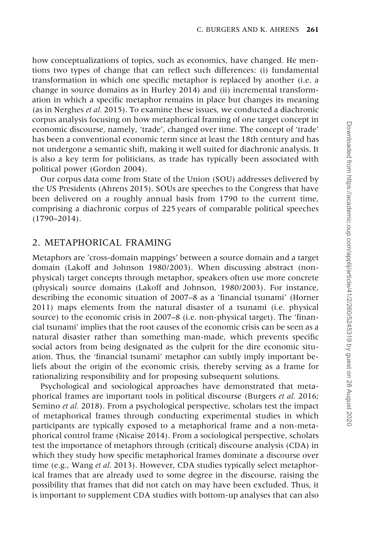how conceptualizations of topics, such as economics, have changed. He mentions two types of change that can reflect such differences: (i) fundamental transformation in which one specific metaphor is replaced by another (i.e. a change in source domains as in [Hurley 2014](#page-18-0)) and (ii) incremental transformation in which a specific metaphor remains in place but changes its meaning (as in [Nerghes](#page-19-0) et al. 2015). To examine these issues, we conducted a diachronic corpus analysis focusing on how metaphorical framing of one target concept in economic discourse, namely, 'trade', changed over time. The concept of 'trade' has been a conventional economic term since at least the 18th century and has not undergone a semantic shift, making it well suited for diachronic analysis. It is also a key term for politicians, as trade has typically been associated with political power [\(Gordon 2004](#page-18-0)).

Our corpus data come from State of the Union (SOU) addresses delivered by the US Presidents [\(Ahrens 2015](#page-18-0)). SOUs are speeches to the Congress that have been delivered on a roughly annual basis from 1790 to the current time, comprising a diachronic corpus of 225 years of comparable political speeches (1790–2014).

#### 2. METAPHORICAL FRAMING

Metaphors are 'cross-domain mappings' between a source domain and a target domain ([Lakoff and Johnson 1980/2003](#page-19-0)). When discussing abstract (nonphysical) target concepts through metaphor, speakers often use more concrete (physical) source domains [\(Lakoff and Johnson, 1980/2003\)](#page-19-0). For instance, describing the economic situation of 2007–8 as a 'financial tsunami' [\(Horner](#page-18-0) [2011\)](#page-18-0) maps elements from the natural disaster of a tsunami (i.e. physical source) to the economic crisis in 2007–8 (i.e. non-physical target). The 'financial tsunami' implies that the root causes of the economic crisis can be seen as a natural disaster rather than something man-made, which prevents specific social actors from being designated as the culprit for the dire economic situation. Thus, the 'financial tsunami' metaphor can subtly imply important beliefs about the origin of the economic crisis, thereby serving as a frame for rationalizing responsibility and for proposing subsequent solutions.

Psychological and sociological approaches have demonstrated that metaphorical frames are important tools in political discourse [\(Burgers](#page-18-0) et al. 2016; [Semino](#page-19-0) et al. 2018). From a psychological perspective, scholars test the impact of metaphorical frames through conducting experimental studies in which participants are typically exposed to a metaphorical frame and a non-metaphorical control frame ([Nicaise 2014](#page-19-0)). From a sociological perspective, scholars test the importance of metaphors through (critical) discourse analysis (CDA) in which they study how specific metaphorical frames dominate a discourse over time (e.g., [Wang](#page-19-0) et al. 2013). However, CDA studies typically select metaphorical frames that are already used to some degree in the discourse, raising the possibility that frames that did not catch on may have been excluded. Thus, it is important to supplement CDA studies with bottom-up analyses that can also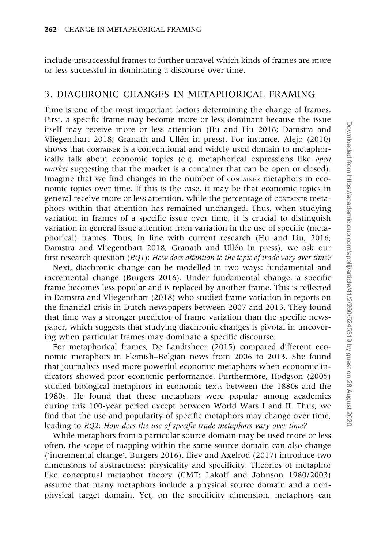include unsuccessful frames to further unravel which kinds of frames are more or less successful in dominating a discourse over time.

## 3. DIACHRONIC CHANGES IN METAPHORICAL FRAMING

Time is one of the most important factors determining the change of frames. First, a specific frame may become more or less dominant because the issue itself may receive more or less attention ([Hu and Liu 2016](#page-18-0); [Damstra and](#page-18-0) [Vliegenthart 2018](#page-18-0); Granath and Ullén in press). For instance, [Alejo \(2010\)](#page-18-0) shows that CONTAINER is a conventional and widely used domain to metaphorically talk about economic topics (e.g. metaphorical expressions like open market suggesting that the market is a container that can be open or closed). Imagine that we find changes in the number of CONTAINER metaphors in economic topics over time. If this is the case, it may be that economic topics in general receive more or less attention, while the percentage of CONTAINER metaphors within that attention has remained unchanged. Thus, when studying variation in frames of a specific issue over time, it is crucial to distinguish variation in general issue attention from variation in the use of specific (metaphorical) frames. Thus, in line with current research ([Hu and Liu, 2016;](#page-18-0) Damstra and Vliegenthart 2018; Granath and Ullén in press), we ask our first research question (RQ1): How does attention to the topic of trade vary over time?

Next, diachronic change can be modelled in two ways: fundamental and incremental change [\(Burgers 2016](#page-18-0)). Under fundamental change, a specific frame becomes less popular and is replaced by another frame. This is reflected in [Damstra and Vliegenthart \(2018\)](#page-18-0) who studied frame variation in reports on the financial crisis in Dutch newspapers between 2007 and 2013. They found that time was a stronger predictor of frame variation than the specific newspaper, which suggests that studying diachronic changes is pivotal in uncovering when particular frames may dominate a specific discourse.

For metaphorical frames, [De Landtsheer \(2015\)](#page-18-0) compared different economic metaphors in Flemish–Belgian news from 2006 to 2013. She found that journalists used more powerful economic metaphors when economic indicators showed poor economic performance. Furthermore, [Hodgson \(2005\)](#page-18-0) studied biological metaphors in economic texts between the 1880s and the 1980s. He found that these metaphors were popular among academics during this 100-year period except between World Wars I and II. Thus, we find that the use and popularity of specific metaphors may change over time, leading to RQ2: How does the use of specific trade metaphors vary over time?

While metaphors from a particular source domain may be used more or less often, the scope of mapping within the same source domain can also change ('incremental change', [Burgers 2016\)](#page-18-0). [Iliev and Axelrod \(2017\)](#page-19-0) introduce two dimensions of abstractness: physicality and specificity. Theories of metaphor like conceptual metaphor theory (CMT; [Lakoff and Johnson 1980/2003\)](#page-19-0) assume that many metaphors include a physical source domain and a nonphysical target domain. Yet, on the specificity dimension, metaphors can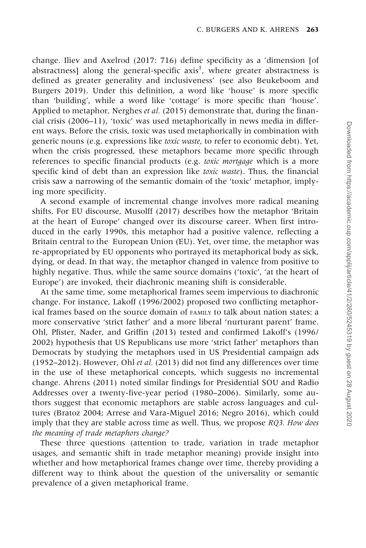change. [Iliev and Axelrod \(2017:](#page-19-0) 716) define specificity as a 'dimension [of abstractness] along the general-specific axis $^1$ , where greater abstractness is defined as greater generality and inclusiveness' (see also [Beukeboom and](#page-18-0) [Burgers 2019](#page-18-0)). Under this definition, a word like 'house' is more specific than 'building', while a word like 'cottage' is more specific than 'house'. Applied to metaphor, [Nerghes](#page-19-0) et al. (2015) demonstrate that, during the financial crisis (2006–11), 'toxic' was used metaphorically in news media in different ways. Before the crisis, toxic was used metaphorically in combination with generic nouns (e.g. expressions like toxic waste, to refer to economic debt). Yet, when the crisis progressed, these metaphors became more specific through references to specific financial products (e.g. toxic mortgage which is a more specific kind of debt than an expression like toxic waste). Thus, the financial crisis saw a narrowing of the semantic domain of the 'toxic' metaphor, implying more specificity.

A second example of incremental change involves more radical meaning shifts. For EU discourse, [Musolff \(2017\)](#page-19-0) describes how the metaphor 'Britain at the heart of Europe' changed over its discourse career. When first introduced in the early 1990s, this metaphor had a positive valence, reflecting a Britain central to the European Union (EU). Yet, over time, the metaphor was re-appropriated by EU opponents who portrayed its metaphorical body as sick, dying, or dead. In that way, the metaphor changed in valence from positive to highly negative. Thus, while the same source domains ('toxic', 'at the heart of Europe') are invoked, their diachronic meaning shift is considerable.

At the same time, some metaphorical frames seem impervious to diachronic change. For instance, [Lakoff \(1996/2002](#page-19-0)) proposed two conflicting metaphorical frames based on the source domain of FAMILY to talk about nation states: a more conservative 'strict father' and a more liberal 'nurturant parent' frame. [Ohl, Pfister, Nader, and Griffin \(2013\)](#page-19-0) tested and confirmed [Lakoff's \(1996/](#page-19-0) [2002\)](#page-19-0) hypothesis that US Republicans use more 'strict father' metaphors than Democrats by studying the metaphors used in US Presidential campaign ads (1952–2012). However, Ohl et al. [\(2013\)](#page-19-0) did not find any differences over time in the use of these metaphorical concepts, which suggests no incremental change. [Ahrens \(2011\)](#page-18-0) noted similar findings for Presidential SOU and Radio Addresses over a twenty-five-year period (1980–2006). Similarly, some authors suggest that economic metaphors are stable across languages and cultures [\(Bratoz 2004; Arrese and Vara-Miguel 2016;](#page-18-0) [Negro 2016](#page-19-0)), which could imply that they are stable across time as well. Thus, we propose RQ3. How does the meaning of trade metaphors change?

These three questions (attention to trade, variation in trade metaphor usages, and semantic shift in trade metaphor meaning) provide insight into whether and how metaphorical frames change over time, thereby providing a different way to think about the question of the universality or semantic prevalence of a given metaphorical frame.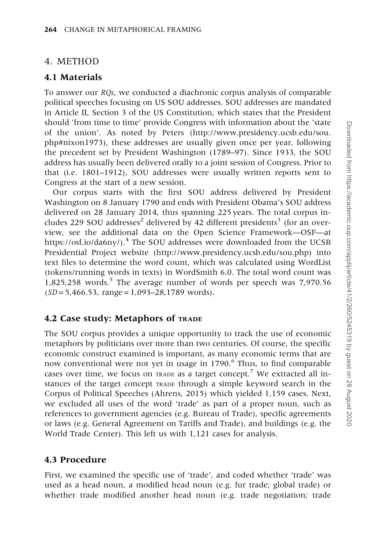## 4. METHOD

## 4.1 Materials

To answer our RQs, we conducted a diachronic corpus analysis of comparable political speeches focusing on US SOU addresses. SOU addresses are mandated in Article II, Section 3 of the US Constitution, which states that the President should 'from time to time' provide Congress with information about the 'state of the union'. As noted by Peters [\(http://www.presidency.ucsb.edu/sou.](http://www.presidency.ucsb.edu/sou.php#nixon1973) [php#nixon1973](http://www.presidency.ucsb.edu/sou.php#nixon1973)), these addresses are usually given once per year, following the precedent set by President Washington (1789–97). Since 1933, the SOU address has usually been delivered orally to a joint session of Congress. Prior to that (i.e. 1801–1912), SOU addresses were usually written reports sent to Congress at the start of a new session.

Our corpus starts with the first SOU address delivered by President Washington on 8 January 1790 and ends with President Obama's SOU address delivered on 28 January 2014, thus spanning 225 years. The total corpus includes 229 SOU addresses<sup>2</sup> delivered by 42 different presidents<sup>3</sup> (for an overview, see the additional data on the Open Science Framework—OSF—at <https://osf.io/da6ny/>).<sup>4</sup> The SOU addresses were downloaded from the UCSB Presidential Project website ([http://www.presidency.ucsb.edu/sou.php\)](http://www.presidency.ucsb.edu/sou.php) into text files to determine the word count, which was calculated using WordList (tokens/running words in texts) in WordSmith 6.0. The total word count was  $1,825,258$  words.<sup>5</sup> The average number of words per speech was  $7,970.56$  $(SD = 5,466.53, \text{ range} = 1,093-28,1789 \text{ words}).$ 

## 4.2 Case study: Metaphors of TRADE

The SOU corpus provides a unique opportunity to track the use of economic metaphors by politicians over more than two centuries. Of course, the specific economic construct examined is important, as many economic terms that are now conventional were not yet in usage in 1790.<sup>6</sup> Thus, to find comparable cases over time, we focus on TRADE as a target concept.<sup>7</sup> We extracted all instances of the target concept TRADE through a simple keyword search in the Corpus of Political Speeches ([Ahrens, 2015\)](#page-18-0) which yielded 1,159 cases. Next, we excluded all uses of the word 'trade' as part of a proper noun, such as references to government agencies (e.g. Bureau of Trade), specific agreements or laws (e.g. General Agreement on Tariffs and Trade), and buildings (e.g. the World Trade Center). This left us with 1,121 cases for analysis.

## 4.3 Procedure

First, we examined the specific use of 'trade', and coded whether 'trade' was used as a head noun, a modified head noun (e.g. fur trade; global trade) or whether trade modified another head noun (e.g. trade negotiation; trade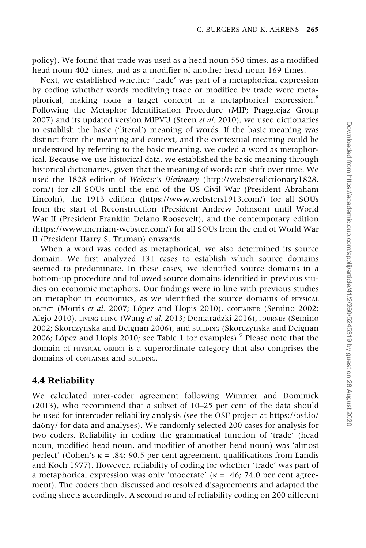policy). We found that trade was used as a head noun 550 times, as a modified head noun 402 times, and as a modifier of another head noun 169 times.

Next, we established whether 'trade' was part of a metaphorical expression by coding whether words modifying trade or modified by trade were metaphorical, making TRADE a target concept in a metaphorical expression.<sup>8</sup> Following the Metaphor Identification Procedure (MIP; [Pragglejaz Group](#page-19-0) [2007\)](#page-19-0) and its updated version MIPVU [\(Steen](#page-19-0) et al. 2010), we used dictionaries to establish the basic ('literal') meaning of words. If the basic meaning was distinct from the meaning and context, and the contextual meaning could be understood by referring to the basic meaning, we coded a word as metaphorical. Because we use historical data, we established the basic meaning through historical dictionaries, given that the meaning of words can shift over time. We used the 1828 edition of Webster's Dictionary ([http://webstersdictionary1828.](http://webstersdictionary1828.com/) [com/\)](http://webstersdictionary1828.com/) for all SOUs until the end of the US Civil War (President Abraham Lincoln), the 1913 edition [\(https://www.websters1913.com/\)](https://www.websters1913.com/) for all SOUs from the start of Reconstruction (President Andrew Johnson) until World War II (President Franklin Delano Roosevelt), and the contemporary edition (<https://www.merriam-webster.com/>) for all SOUs from the end of World War II (President Harry S. Truman) onwards.

When a word was coded as metaphorical, we also determined its source domain. We first analyzed 131 cases to establish which source domains seemed to predominate. In these cases, we identified source domains in a bottom-up procedure and followed source domains identified in previous studies on economic metaphors. Our findings were in line with previous studies on metaphor in economics, as we identified the source domains of PHYSICAL OBJECT (MOTTIS et al. 2007; López and Llopis 2010), CONTAINER ([Semino 2002;](#page-19-0) [Alejo 2010\)](#page-18-0), LIVING BEING ([Wang](#page-19-0) et al. 2013; [Domaradzki 2016\)](#page-18-0), JOURNEY ([Semino](#page-19-0) [2002; Skorczynska and Deignan 2006](#page-19-0)), and BUILDING ([Skorczynska and Deignan](#page-19-0) 2006; López and Llopis 2010; see [Table 1](#page-6-0) for examples).<sup>9</sup> Please note that the domain of PHYSICAL OBJECT is a superordinate category that also comprises the domains of *CONTAINER* and BUILDING.

## 4.4 Reliability

We calculated inter-coder agreement following [Wimmer and Dominick](#page-19-0) [\(2013\),](#page-19-0) who recommend that a subset of 10–25 per cent of the data should be used for intercoder reliability analysis (see the OSF project at [https://osf.io/](https://osf.io/da6ny/) [da6ny/](https://osf.io/da6ny/) for data and analyses). We randomly selected 200 cases for analysis for two coders. Reliability in coding the grammatical function of 'trade' (head noun, modified head noun, and modifier of another head noun) was 'almost perfect' (Cohen's  $\kappa = .84$ ; 90.5 per cent agreement, qualifications from [Landis](#page-19-0) [and Koch 1977](#page-19-0)). However, reliability of coding for whether 'trade' was part of a metaphorical expression was only 'moderate' ( $\kappa$  = .46; 74.0 per cent agreement). The coders then discussed and resolved disagreements and adapted the coding sheets accordingly. A second round of reliability coding on 200 different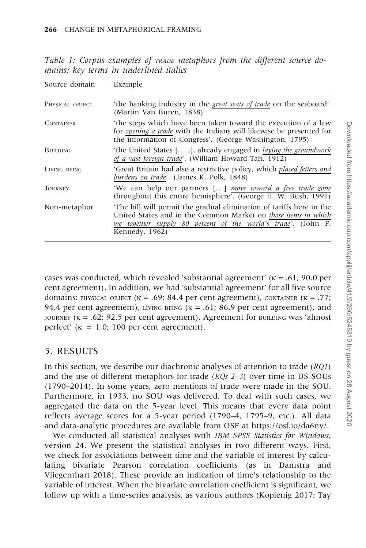<span id="page-6-0"></span>Table 1: Corpus examples of TRADE metaphors from the different source domains; key terms in underlined italics

| Source domain    | Example                                                                                                                                                                                                                         |
|------------------|---------------------------------------------------------------------------------------------------------------------------------------------------------------------------------------------------------------------------------|
| PHYSICAL OBJECT  | 'the banking industry in the <i>great seats of trade</i> on the seaboard'.<br>(Martin Van Buren, 1838)                                                                                                                          |
| <b>CONTAINER</b> | 'the steps which have been taken toward the execution of a law<br>for <i>opening a trade</i> with the Indians will likewise be presented for<br>the information of Congress'. (George Washington, 1795)                         |
| <b>BUILDING</b>  | 'the United States $[]$ , already engaged in <i>laying the groundwork</i><br>of a vast foreign trade'. (William Howard Taft, 1912)                                                                                              |
| LIVING BEING     | 'Great Britain had also a restrictive policy, which <i>placed fetters and</i><br><i>burdens on trade'.</i> (James K. Polk, 1848)                                                                                                |
| <b>JOURNEY</b>   | 'We can help our partners [] move toward a free trade zone<br>throughout this entire hemisphere'. (George H. W. Bush, 1991)                                                                                                     |
| Non-metaphor     | The bill will permit the gradual elimination of tariffs here in the<br>United States and in the Common Market on <i>those items in which</i><br>we together supply 80 percent of the world's trade'. (John F.<br>Kennedy, 1962) |

cases was conducted, which revealed 'substantial agreement' ( $\kappa$  = .61; 90.0 per cent agreement). In addition, we had 'substantial agreement' for all five source domains: PHYSICAL OBJECT ( $\kappa = .69$ ; 84.4 per cent agreement), CONTAINER ( $\kappa = .77$ ; 94.4 per cent agreement), LIVING BEING ( $\kappa$  = .61; 86.9 per cent agreement), and JOURNEY ( $\kappa = .62$ ; 92.5 per cent agreement). Agreement for BUILDING was 'almost perfect'  $(\kappa = 1.0; 100 \text{ per cent agreement}).$ 

## 5. RESULTS

In this section, we describe our diachronic analyses of attention to trade (RQ1) and the use of different metaphors for trade  $(RQs 2-3)$  over time in US SOUs (1790–2014). In some years, zero mentions of trade were made in the SOU. Furthermore, in 1933, no SOU was delivered. To deal with such cases, we aggregated the data on the 5-year level. This means that every data point reflects average scores for a 5-year period (1790–4, 1795–9, etc.). All data and data-analytic procedures are available from OSF at<https://osf.io/da6ny/>.

We conducted all statistical analyses with IBM SPSS Statistics for Windows, version 24. We present the statistical analyses in two different ways. First, we check for associations between time and the variable of interest by calculating bivariate Pearson correlation coefficients (as in [Damstra and](#page-18-0) [Vliegenthart 2018](#page-18-0)). These provide an indication of time's relationship to the variable of interest. When the bivariate correlation coefficient is significant, we follow up with a time-series analysis, as various authors [\(Koplenig 2017](#page-19-0); [Tay](#page-19-0)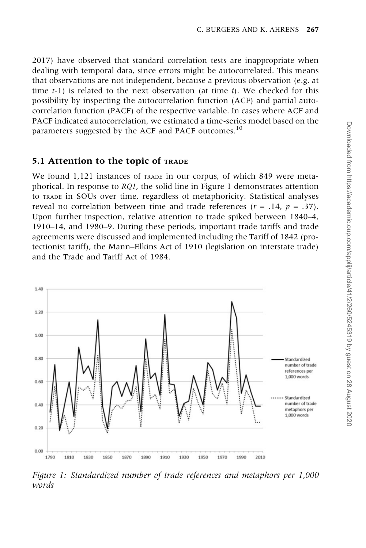<span id="page-7-0"></span>[2017\)](#page-19-0) have observed that standard correlation tests are inappropriate when dealing with temporal data, since errors might be autocorrelated. This means that observations are not independent, because a previous observation (e.g. at time  $t-1$ ) is related to the next observation (at time t). We checked for this possibility by inspecting the autocorrelation function (ACF) and partial autocorrelation function (PACF) of the respective variable. In cases where ACF and PACF indicated autocorrelation, we estimated a time-series model based on the parameters suggested by the ACF and PACF outcomes.<sup>10</sup>

#### 5.1 Attention to the topic of TRADE

We found 1,121 instances of TRADE in our corpus, of which 849 were metaphorical. In response to RQ1, the solid line in Figure 1 demonstrates attention to TRADE in SOUs over time, regardless of metaphoricity. Statistical analyses reveal no correlation between time and trade references ( $r = .14$ ,  $p = .37$ ). Upon further inspection, relative attention to trade spiked between 1840–4, 1910–14, and 1980–9. During these periods, important trade tariffs and trade agreements were discussed and implemented including the Tariff of 1842 (protectionist tariff), the Mann–Elkins Act of 1910 (legislation on interstate trade) and the Trade and Tariff Act of 1984.



Figure 1: Standardized number of trade references and metaphors per 1,000 words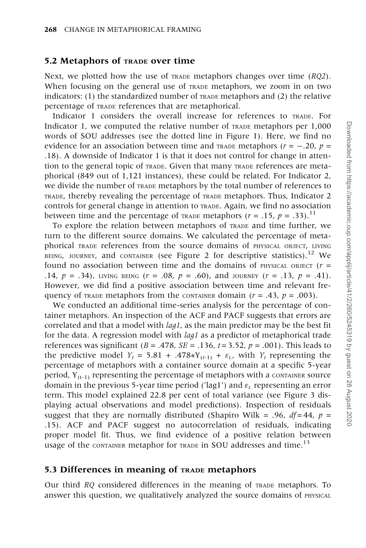#### 5.2 Metaphors of TRADE over time

Next, we plotted how the use of  $T_{R\Delta}$  metaphors changes over time ( $RQ2$ ). When focusing on the general use of TRADE metaphors, we zoom in on two indicators:  $(1)$  the standardized number of  $T_{RADE}$  metaphors and  $(2)$  the relative percentage of TRADE references that are metaphorical.

Indicator 1 considers the overall increase for references to TRADE. For Indicator 1, we computed the relative number of TRADE metaphors per 1,000 words of SOU addresses (see the dotted line in [Figure 1](#page-7-0)). Here, we find no evidence for an association between time and TRADE metaphors ( $r = -.20$ ,  $p =$ .18). A downside of Indicator 1 is that it does not control for change in attention to the general topic of TRADE. Given that many TRADE references are metaphorical (849 out of 1,121 instances), these could be related. For Indicator 2, we divide the number of TRADE metaphors by the total number of references to TRADE, thereby revealing the percentage of TRADE metaphors. Thus, Indicator 2 controls for general change in attention to TRADE. Again, we find no association between time and the percentage of TRADE metaphors ( $r = .15$ ,  $p = .33$ ).<sup>11</sup>

To explore the relation between metaphors of TRADE and time further, we turn to the different source domains. We calculated the percentage of metaphorical TRADE references from the source domains of PHYSICAL OBJECT, LIVING BEING, JOURNEY, and CONTAINER (see [Figure 2](#page-9-0) for descriptive statistics).<sup>12</sup> We found no association between time and the domains of PHYSICAL OBJECT ( $r =$ .14,  $p = .34$ ), LIVING BEING  $(r = .08, p = .60)$ , and JOURNEY  $(r = .13, p = .41)$ . However, we did find a positive association between time and relevant frequency of trade metaphors from the container domain ( $r = .43$ ,  $p = .003$ ).

We conducted an additional time-series analysis for the percentage of container metaphors. An inspection of the ACF and PACF suggests that errors are correlated and that a model with lag1, as the main predictor may be the best fit for the data. A regression model with *lagl* as a predictor of metaphorical trade references was significant ( $B = .478$ ,  $SE = .136$ ,  $t = 3.52$ ,  $p = .001$ ). This leads to the predictive model  $Y_t = 5.81 + .478 * Y_{(t-1)} + \varepsilon_t$ , with  $Y_t$  representing the percentage of metaphors with a container source domain at a specific 5-year period,  $Y_{(t-1)}$  representing the percentage of metaphors with a CONTAINER SOURCE domain in the previous 5-year time period ('lag1') and  $\varepsilon_t$  representing an error term. This model explained 22.8 per cent of total variance (see [Figure 3](#page-9-0) displaying actual observations and model predictions). Inspection of residuals suggest that they are normally distributed (Shapiro Wilk = .96,  $df = 44$ ,  $p =$ .15). ACF and PACF suggest no autocorrelation of residuals, indicating proper model fit. Thus, we find evidence of a positive relation between usage of the CONTAINER metaphor for TRADE in SOU addresses and time.<sup>13</sup>

#### 5.3 Differences in meaning of TRADE metaphors

Our third RQ considered differences in the meaning of TRADE metaphors. To answer this question, we qualitatively analyzed the source domains of PHYSICAL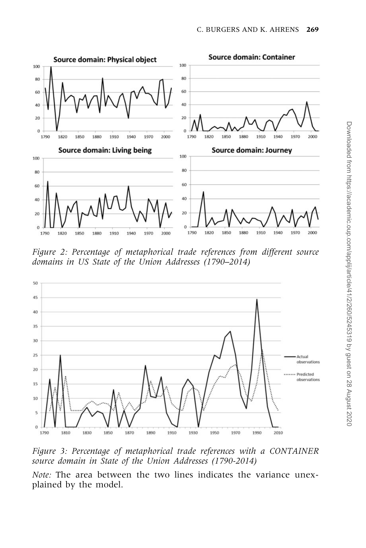<span id="page-9-0"></span>

Figure 2: Percentage of metaphorical trade references from different source domains in US State of the Union Addresses (1790–2014)



Figure 3: Percentage of metaphorical trade references with a CONTAINER source domain in State of the Union Addresses (1790-2014)

Note: The area between the two lines indicates the variance unexplained by the model.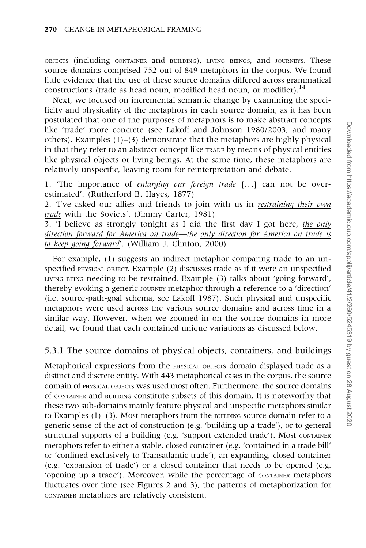OBJECTS (including CONTAINER and BUILDING), LIVING BEINGS, and JOURNEYS. These source domains comprised 752 out of 849 metaphors in the corpus. We found little evidence that the use of these source domains differed across grammatical constructions (trade as head noun, modified head noun, or modifier).<sup>14</sup>

Next, we focused on incremental semantic change by examining the specificity and physicality of the metaphors in each source domain, as it has been postulated that one of the purposes of metaphors is to make abstract concepts like 'trade' more concrete (see [Lakoff and Johnson 1980/2003,](#page-19-0) and many others). Examples  $(1)$ – $(3)$  demonstrate that the metaphors are highly physical in that they refer to an abstract concept like TRADE by means of physical entities like physical objects or living beings. At the same time, these metaphors are relatively unspecific, leaving room for reinterpretation and debate.

1. The importance of enlarging our foreign trade [...] can not be overestimated'. (Rutherford B. Hayes, 1877)

2. 'I've asked our allies and friends to join with us in restraining their own trade with the Soviets'. (Jimmy Carter, 1981)

3. 'I believe as strongly tonight as I did the first day I got here, the only direction forward for America on trade—the only direction for America on trade is to keep going forward'. (William J. Clinton, 2000)

For example, (1) suggests an indirect metaphor comparing trade to an unspecified PHYSICAL OBJECT. Example (2) discusses trade as if it were an unspecified LIVING BEING needing to be restrained. Example (3) talks about 'going forward', thereby evoking a generic JOURNEY metaphor through a reference to a 'direction' (i.e. source-path-goal schema, see [Lakoff 1987](#page-19-0)). Such physical and unspecific metaphors were used across the various source domains and across time in a similar way. However, when we zoomed in on the source domains in more detail, we found that each contained unique variations as discussed below.

#### 5.3.1 The source domains of physical objects, containers, and buildings

Metaphorical expressions from the PHYSICAL OBJECTS domain displayed trade as a distinct and discrete entity. With 443 metaphorical cases in the corpus, the source domain of PHYSICAL OBJECTS was used most often. Furthermore, the source domains of CONTAINER and BUILDING constitute subsets of this domain. It is noteworthy that these two sub-domains mainly feature physical and unspecific metaphors similar to Examples  $(1)$ – $(3)$ . Most metaphors from the BUILDING source domain refer to a generic sense of the act of construction (e.g. 'building up a trade'), or to general structural supports of a building (e.g. 'support extended trade'). Most CONTAINER metaphors refer to either a stable, closed container (e.g. 'contained in a trade bill' or 'confined exclusively to Transatlantic trade'), an expanding, closed container (e.g. 'expansion of trade') or a closed container that needs to be opened (e.g. 'opening up a trade'). Moreover, while the percentage of CONTAINER metaphors fluctuates over time (see [Figures 2](#page-9-0) and [3](#page-9-0)), the patterns of metaphorization for CONTAINER metaphors are relatively consistent.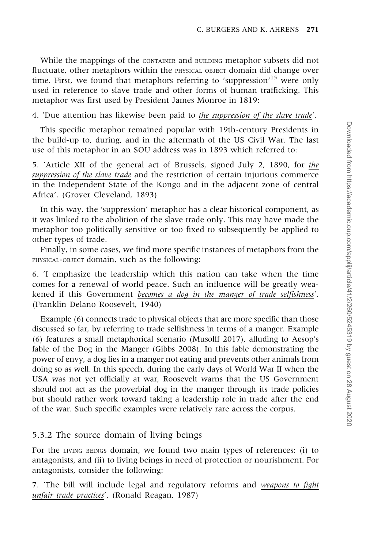While the mappings of the CONTAINER and BUILDING metaphor subsets did not fluctuate, other metaphors within the PHYSICAL OBJECT domain did change over time. First, we found that metaphors referring to 'suppression'<sup>15</sup> were only used in reference to slave trade and other forms of human trafficking. This metaphor was first used by President James Monroe in 1819:

4. 'Due attention has likewise been paid to the suppression of the slave trade'.

This specific metaphor remained popular with 19th-century Presidents in the build-up to, during, and in the aftermath of the US Civil War. The last use of this metaphor in an SOU address was in 1893 which referred to:

5. 'Article XII of the general act of Brussels, signed July 2, 1890, for the suppression of the slave trade and the restriction of certain injurious commerce in the Independent State of the Kongo and in the adjacent zone of central Africa'. (Grover Cleveland, 1893)

In this way, the 'suppression' metaphor has a clear historical component, as it was linked to the abolition of the slave trade only. This may have made the metaphor too politically sensitive or too fixed to subsequently be applied to other types of trade.

Finally, in some cases, we find more specific instances of metaphors from the PHYSICAL-OBJECT domain, such as the following:

6. 'I emphasize the leadership which this nation can take when the time comes for a renewal of world peace. Such an influence will be greatly weakened if this Government becomes a dog in the manger of trade selfishness'. (Franklin Delano Roosevelt, 1940)

Example (6) connects trade to physical objects that are more specific than those discussed so far, by referring to trade selfishness in terms of a manger. Example (6) features a small metaphorical scenario ([Musolff 2017\)](#page-19-0), alluding to Aesop's fable of the Dog in the Manger ([Gibbs 2008](#page-18-0)). In this fable demonstrating the power of envy, a dog lies in a manger not eating and prevents other animals from doing so as well. In this speech, during the early days of World War II when the USA was not yet officially at war, Roosevelt warns that the US Government should not act as the proverbial dog in the manger through its trade policies but should rather work toward taking a leadership role in trade after the end of the war. Such specific examples were relatively rare across the corpus.

## 5.3.2 The source domain of living beings

For the LIVING BEINGS domain, we found two main types of references: (i) to antagonists, and (ii) to living beings in need of protection or nourishment. For antagonists, consider the following:

7. 'The bill will include legal and regulatory reforms and weapons to fight unfair trade practices'. (Ronald Reagan, 1987)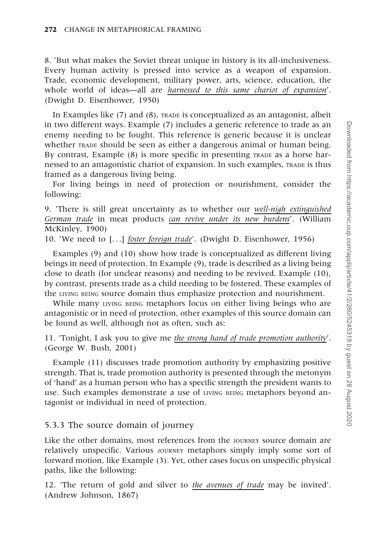8. 'But what makes the Soviet threat unique in history is its all-inclusiveness. Every human activity is pressed into service as a weapon of expansion. Trade, economic development, military power, arts, science, education, the whole world of ideas—all are *harnessed to this same chariot of expansion'*. (Dwight D. Eisenhower, 1950)

In Examples like (7) and (8), TRADE is conceptualized as an antagonist, albeit in two different ways. Example (7) includes a generic reference to trade as an enemy needing to be fought. This reference is generic because it is unclear whether TRADE should be seen as either a dangerous animal or human being. By contrast, Example (8) is more specific in presenting TRADE as a horse harnessed to an antagonistic chariot of expansion. In such examples, TRADE is thus framed as a dangerous living being.

For living beings in need of protection or nourishment, consider the following:

9. 'There is still great uncertainty as to whether our well-nigh extinguished German trade in meat products can revive under its new burdens'. (William McKinley, 1900)

10. 'We need to [...] foster foreign trade'. (Dwight D. Eisenhower, 1956)

Examples (9) and (10) show how trade is conceptualized as different living beings in need of protection. In Example (9), trade is described as a living being close to death (for unclear reasons) and needing to be revived. Example (10), by contrast, presents trade as a child needing to be fostered. These examples of the LIVING BEING source domain thus emphasize protection and nourishment.

While many LIVING BEING metaphors focus on either living beings who are antagonistic or in need of protection, other examples of this source domain can be found as well, although not as often, such as:

11. 'Tonight, I ask you to give me the strong hand of trade promotion authority'. (George W. Bush, 2001)

Example (11) discusses trade promotion authority by emphasizing positive strength. That is, trade promotion authority is presented through the metonym of 'hand' as a human person who has a specific strength the president wants to use. Such examples demonstrate a use of LIVING BEING metaphors beyond antagonist or individual in need of protection.

#### 5.3.3 The source domain of journey

Like the other domains, most references from the JOURNEY SOUrce domain are relatively unspecific. Various JOURNEY metaphors simply imply some sort of forward motion, like Example (3). Yet, other cases focus on unspecific physical paths, like the following:

12. 'The return of gold and silver to the avenues of trade may be invited'. (Andrew Johnson, 1867)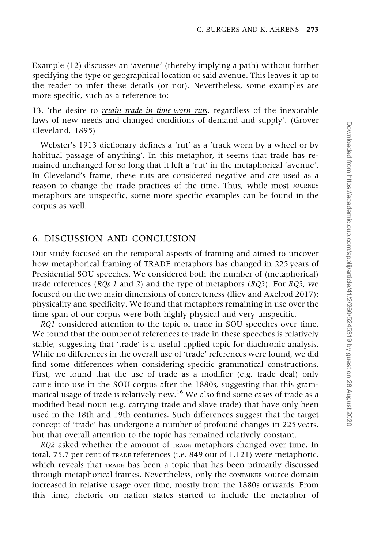Example (12) discusses an 'avenue' (thereby implying a path) without further specifying the type or geographical location of said avenue. This leaves it up to the reader to infer these details (or not). Nevertheless, some examples are more specific, such as a reference to:

13. 'the desire to retain trade in time-worn ruts, regardless of the inexorable laws of new needs and changed conditions of demand and supply'. (Grover Cleveland, 1895)

Webster's 1913 dictionary defines a 'rut' as a 'track worn by a wheel or by habitual passage of anything'. In this metaphor, it seems that trade has remained unchanged for so long that it left a 'rut' in the metaphorical 'avenue'. In Cleveland's frame, these ruts are considered negative and are used as a reason to change the trade practices of the time. Thus, while most JOURNEY metaphors are unspecific, some more specific examples can be found in the corpus as well.

#### 6. DISCUSSION AND CONCLUSION

Our study focused on the temporal aspects of framing and aimed to uncover how metaphorical framing of TRADE metaphors has changed in 225 years of Presidential SOU speeches. We considered both the number of (metaphorical) trade references ( $RQs$  1 and 2) and the type of metaphors ( $RQ3$ ). For  $RQ3$ , we focused on the two main dimensions of concreteness ([Iliev and Axelrod 2017\)](#page-19-0): physicality and specificity. We found that metaphors remaining in use over the time span of our corpus were both highly physical and very unspecific.

RQ1 considered attention to the topic of trade in SOU speeches over time. We found that the number of references to trade in these speeches is relatively stable, suggesting that 'trade' is a useful applied topic for diachronic analysis. While no differences in the overall use of 'trade' references were found, we did find some differences when considering specific grammatical constructions. First, we found that the use of trade as a modifier (e.g. trade deal) only came into use in the SOU corpus after the 1880s, suggesting that this grammatical usage of trade is relatively new.<sup>16</sup> We also find some cases of trade as a modified head noun (e.g. carrying trade and slave trade) that have only been used in the 18th and 19th centuries. Such differences suggest that the target concept of 'trade' has undergone a number of profound changes in 225 years, but that overall attention to the topic has remained relatively constant.

RQ2 asked whether the amount of TRADE metaphors changed over time. In total, 75.7 per cent of TRADE references (i.e. 849 out of 1,121) were metaphoric, which reveals that TRADE has been a topic that has been primarily discussed through metaphorical frames. Nevertheless, only the CONTAINER source domain increased in relative usage over time, mostly from the 1880s onwards. From this time, rhetoric on nation states started to include the metaphor of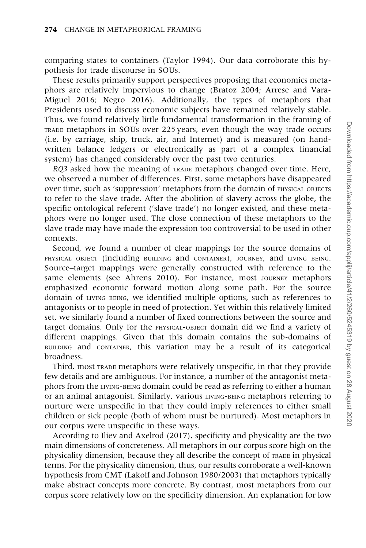comparing states to containers [\(Taylor 1994](#page-19-0)). Our data corroborate this hypothesis for trade discourse in SOUs.

These results primarily support perspectives proposing that economics metaphors are relatively impervious to change [\(Bratoz 2004](#page-18-0); [Arrese and Vara-](#page-18-0)[Miguel 2016](#page-18-0); [Negro 2016\)](#page-19-0). Additionally, the types of metaphors that Presidents used to discuss economic subjects have remained relatively stable. Thus, we found relatively little fundamental transformation in the framing of TRADE metaphors in SOUs over 225 years, even though the way trade occurs (i.e. by carriage, ship, truck, air, and Internet) and is measured (on handwritten balance ledgers or electronically as part of a complex financial system) has changed considerably over the past two centuries.

RO3 asked how the meaning of TRADE metaphors changed over time. Here, we observed a number of differences. First, some metaphors have disappeared over time, such as 'suppression' metaphors from the domain of PHYSICAL OBJECTS to refer to the slave trade. After the abolition of slavery across the globe, the specific ontological referent ('slave trade') no longer existed, and these metaphors were no longer used. The close connection of these metaphors to the slave trade may have made the expression too controversial to be used in other contexts.

Second, we found a number of clear mappings for the source domains of PHYSICAL OBJECT (including BUILDING and CONTAINER), JOURNEY, and LIVING BEING. Source–target mappings were generally constructed with reference to the same elements (see [Ahrens 2010\)](#page-18-0). For instance, most JOURNEY metaphors emphasized economic forward motion along some path. For the source domain of LIVING BEING, we identified multiple options, such as references to antagonists or to people in need of protection. Yet within this relatively limited set, we similarly found a number of fixed connections between the source and target domains. Only for the PHYSICAL-OBJECT domain did we find a variety of different mappings. Given that this domain contains the sub-domains of BUILDING and CONTAINER, this variation may be a result of its categorical broadness.

Third, most TRADE metaphors were relatively unspecific, in that they provide few details and are ambiguous. For instance, a number of the antagonist metaphors from the LIVING-BEING domain could be read as referring to either a human or an animal antagonist. Similarly, various LIVING-BEING metaphors referring to nurture were unspecific in that they could imply references to either small children or sick people (both of whom must be nurtured). Most metaphors in our corpus were unspecific in these ways.

According to [Iliev and Axelrod \(2017\)](#page-19-0), specificity and physicality are the two main dimensions of concreteness. All metaphors in our corpus score high on the physicality dimension, because they all describe the concept of TRADE in physical terms. For the physicality dimension, thus, our results corroborate a well-known hypothesis from CMT ([Lakoff and Johnson 1980/2003\)](#page-19-0) that metaphors typically make abstract concepts more concrete. By contrast, most metaphors from our corpus score relatively low on the specificity dimension. An explanation for low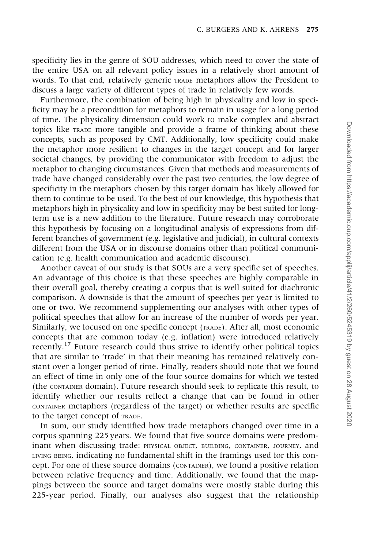specificity lies in the genre of SOU addresses, which need to cover the state of the entire USA on all relevant policy issues in a relatively short amount of words. To that end, relatively generic TRADE metaphors allow the President to discuss a large variety of different types of trade in relatively few words.

Furthermore, the combination of being high in physicality and low in specificity may be a precondition for metaphors to remain in usage for a long period of time. The physicality dimension could work to make complex and abstract topics like TRADE more tangible and provide a frame of thinking about these concepts, such as proposed by CMT. Additionally, low specificity could make the metaphor more resilient to changes in the target concept and for larger societal changes, by providing the communicator with freedom to adjust the metaphor to changing circumstances. Given that methods and measurements of trade have changed considerably over the past two centuries, the low degree of specificity in the metaphors chosen by this target domain has likely allowed for them to continue to be used. To the best of our knowledge, this hypothesis that metaphors high in physicality and low in specificity may be best suited for longterm use is a new addition to the literature. Future research may corroborate this hypothesis by focusing on a longitudinal analysis of expressions from different branches of government (e.g. legislative and judicial), in cultural contexts different from the USA or in discourse domains other than political communication (e.g. health communication and academic discourse).

Another caveat of our study is that SOUs are a very specific set of speeches. An advantage of this choice is that these speeches are highly comparable in their overall goal, thereby creating a corpus that is well suited for diachronic comparison. A downside is that the amount of speeches per year is limited to one or two. We recommend supplementing our analyses with other types of political speeches that allow for an increase of the number of words per year. Similarly, we focused on one specific concept (TRADE). After all, most economic concepts that are common today (e.g. inflation) were introduced relatively recently.<sup>17</sup> Future research could thus strive to identify other political topics that are similar to 'trade' in that their meaning has remained relatively constant over a longer period of time. Finally, readers should note that we found an effect of time in only one of the four source domains for which we tested (the CONTAINER domain). Future research should seek to replicate this result, to identify whether our results reflect a change that can be found in other CONTAINER metaphors (regardless of the target) or whether results are specific to the target concept of TRADE.

In sum, our study identified how trade metaphors changed over time in a corpus spanning 225 years. We found that five source domains were predominant when discussing trade: PHYSICAL OBJECT, BUILDING, CONTAINER, JOURNEY, and LIVING BEING, indicating no fundamental shift in the framings used for this concept. For one of these source domains (CONTAINER), we found a positive relation between relative frequency and time. Additionally, we found that the mappings between the source and target domains were mostly stable during this 225-year period. Finally, our analyses also suggest that the relationship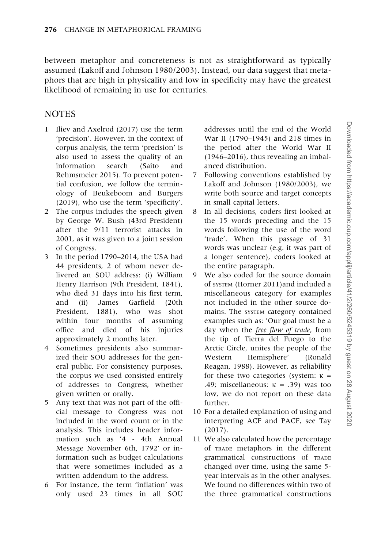between metaphor and concreteness is not as straightforward as typically assumed [\(Lakoff and Johnson 1980/2003\)](#page-19-0). Instead, our data suggest that metaphors that are high in physicality and low in specificity may have the greatest likelihood of remaining in use for centuries.

#### **NOTES**

- 1 [Iliev and Axelrod \(2017\)](#page-19-0) use the term 'precision'. However, in the context of corpus analysis, the term 'precision' is also used to assess the quality of an information search [\(Saito and](#page-19-0) [Rehmsmeier 2015](#page-19-0)). To prevent potential confusion, we follow the terminology of Beukeboom and Burgers (2019), who use the term 'specificity'.
- 2 The corpus includes the speech given by George W. Bush (43rd President) after the 9/11 terrorist attacks in 2001, as it was given to a joint session of Congress.
- 3 In the period 1790–2014, the USA had 44 presidents, 2 of whom never delivered an SOU address: (i) William Henry Harrison (9th President, 1841), who died 31 days into his first term, and (ii) James Garfield (20th President, 1881), who was shot within four months of assuming office and died of his injuries approximately 2 months later.
- 4 Sometimes presidents also summarized their SOU addresses for the general public. For consistency purposes, the corpus we used consisted entirely of addresses to Congress, whether given written or orally.
- 5 Any text that was not part of the official message to Congress was not included in the word count or in the analysis. This includes header information such as '4 - 4th Annual Message November 6th, 1792' or information such as budget calculations that were sometimes included as a written addendum to the address.
- 6 For instance, the term 'inflation' was only used 23 times in all SOU

addresses until the end of the World War II (1790–1945) and 218 times in the period after the World War II (1946–2016), thus revealing an imbalanced distribution.

- 7 Following conventions established by [Lakoff and Johnson \(1980/2003\)](#page-19-0), we write both source and target concepts in small capital letters.
- 8 In all decisions, coders first looked at the 15 words preceding and the 15 words following the use of the word 'trade'. When this passage of 31 words was unclear (e.g. it was part of a longer sentence), coders looked at the entire paragraph.
- 9 We also coded for the source domain of SYSTEM [\(Horner 2011](#page-18-0))and included a miscellaneous category for examples not included in the other source domains. The SYSTEM category contained examples such as: 'Our goal must be a day when the free flow of trade, from the tip of Tierra del Fuego to the Arctic Circle, unites the people of the Western Hemisphere' (Ronald Reagan, 1988). However, as reliability for these two categories (system:  $\kappa$  = .49; miscellaneous:  $\kappa = .39$ ) was too low, we do not report on these data further.
- 10 For a detailed explanation of using and interpreting ACF and PACF, see [Tay](#page-19-0) [\(2017](#page-19-0)).
- 11 We also calculated how the percentage of TRADE metaphors in the different grammatical constructions of TRADE changed over time, using the same 5 year intervals as in the other analyses. We found no differences within two of the three grammatical constructions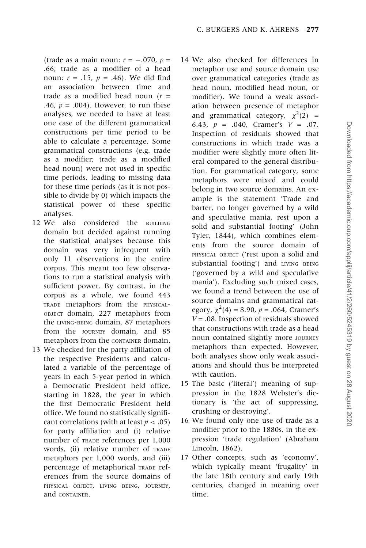(trade as a main noun:  $r = -.070$ ,  $p =$ .66; trade as a modifier of a head noun:  $r = .15$ ,  $p = .46$ ). We did find an association between time and trade as a modified head noun  $(r =$ .46,  $p = .004$ ). However, to run these analyses, we needed to have at least one case of the different grammatical constructions per time period to be able to calculate a percentage. Some grammatical constructions (e.g. trade as a modifier; trade as a modified head noun) were not used in specific time periods, leading to missing data for these time periods (as it is not possible to divide by 0) which impacts the statistical power of these specific analyses.

- 12 We also considered the BUILDING domain but decided against running the statistical analyses because this domain was very infrequent with only 11 observations in the entire corpus. This meant too few observations to run a statistical analysis with sufficient power. By contrast, in the corpus as a whole, we found 443 TRADE metaphors from the PHYSICAL-OBJECT domain, 227 metaphors from the LIVING-BEING domain, 87 metaphors from the JOURNEY domain, and 85 metaphors from the CONTAINER domain.
- 13 We checked for the party affiliation of the respective Presidents and calculated a variable of the percentage of years in each 5-year period in which a Democratic President held office, starting in 1828, the year in which the first Democratic President held office. We found no statistically significant correlations (with at least  $p < .05$ ) for party affiliation and (i) relative number of TRADE references per 1,000 words, (ii) relative number of TRADE metaphors per 1,000 words, and (iii) percentage of metaphorical TRADE references from the source domains of PHYSICAL OBJECT, LIVING BEING, JOURNEY, and CONTAINER.
- 14 We also checked for differences in metaphor use and source domain use over grammatical categories (trade as head noun, modified head noun, or modifier). We found a weak association between presence of metaphor and grammatical category,  $\chi^2(2)$  = 6.43,  $p = .040$ , Cramer's  $V = .07$ . Inspection of residuals showed that constructions in which trade was a modifier were slightly more often literal compared to the general distribution. For grammatical category, some metaphors were mixed and could belong in two source domains. An example is the statement 'Trade and barter, no longer governed by a wild and speculative mania, rest upon a solid and substantial footing' (John Tyler, 1844), which combines elements from the source domain of PHYSICAL OBJECT ('rest upon a solid and substantial footing') and LIVING BEING ('governed by a wild and speculative mania'). Excluding such mixed cases, we found a trend between the use of source domains and grammatical category,  $\chi^2(4) = 8.90$ ,  $p = .064$ , Cramer's  $V = .08$ . Inspection of residuals showed that constructions with trade as a head noun contained slightly more JOURNEY metaphors than expected. However, both analyses show only weak associations and should thus be interpreted with caution.
- 15 The basic ('literal') meaning of suppression in the 1828 Webster's dictionary is 'the act of suppressing, crushing or destroying'.
- 16 We found only one use of trade as a modifier prior to the 1880s, in the expression 'trade regulation' (Abraham Lincoln, 1862).
- 17 Other concepts, such as 'economy', which typically meant 'frugality' in the late 18th century and early 19th centuries, changed in meaning over time.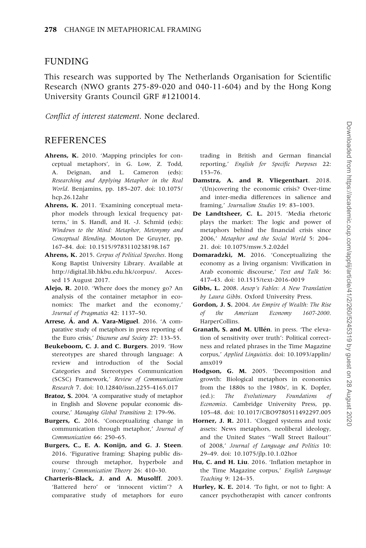#### <span id="page-18-0"></span>**FUNDING**

This research was supported by The Netherlands Organisation for Scientific Research (NWO grants 275-89-020 and 040-11-604) and by the Hong Kong University Grants Council GRF #1210014.

Conflict of interest statement. None declared.

#### **REFERENCES**

- Ahrens, K. 2010. 'Mapping principles for conceptual metaphors', in G. Low, Z. Todd, A. Deignan, and L. Cameron (eds): Researching and Applying Metaphor in the Real World. Benjamins, pp. 185–207. [doi: 10.1075/](http://doi:10.1075/hcp.26.12ahr) [hcp.26.12ahr](http://doi:10.1075/hcp.26.12ahr)
- Ahrens, K. 2011. 'Examining conceptual metaphor models through lexical frequency patterns,' in S. Handl, and H. -J. Schmid (eds): Windows to the Mind: Metaphor, Metonymy and Conceptual Blending. Mouton De Gruyter, pp. 167–84. [doi: 10.1515/9783110238198.167](http://doi:10.1075/msw.5.2.02del)
- Ahrens, K. 2015. Corpus of Political Speeches. Hong Kong Baptist University Library. Available at [http://digital.lib.hkbu.edu.hk/corpus/.](http://digital.lib.hkbu.edu.hk/corpus/) Accessed 15 August 2017.
- Alejo, R. 2010. 'Where does the money go? An analysis of the container metaphor in economics: The market and the economy,' Journal of Pragmatics 42: 1137–50.
- Arrese, A. and A. Vara-Miguel. 2016. 'A comparative study of metaphors in press reporting of the Euro crisis,' Discourse and Society 27: 133–55.
- Beukeboom, C. J. and C. Burgers. 2019. 'How stereotypes are shared through language: A review and introduction of the Social Categories and Stereotypes Communication (SCSC) Framework,' Review of Communication Research 7. [doi: 10.12840/issn.2255-4165.017](http://doi:10.12840/issn.2255-4165.017)
- Bratoz, S. 2004. 'A comparative study of metaphor in English and Slovene popular economic discourse,' Managing Global Transitions 2: 179–96.
- Burgers, C. 2016. 'Conceptualizing change in communication through metaphor,' Journal of Communication 66: 250–65.
- Burgers, C., E. A. Konijn, and G. J. Steen. 2016. 'Figurative framing: Shaping public discourse through metaphor, hyperbole and irony,' Communication Theory 26: 410–30.
- Charteris-Black, J. and A. Musolff. 2003. 'Battered hero' or 'innocent victim'? A comparative study of metaphors for euro

trading in British and German financial reporting,' English for Specific Purposes 22: 153–76.

- Damstra, A. and R. Vliegenthart. 2018. '(Un)covering the economic crisis? Over-time and inter-media differences in salience and framing,' Journalism Studies 19: 83–1003.
- De Landtsheer, C. L. 2015. 'Media rhetoric plays the market: The logic and power of metaphors behind the financial crisis since 2006,' Metaphor and the Social World 5: 204– 21. [doi: 10.1075/msw.5.2.02del](http://doi:10.1075/msw.5.2.02del)
- Domaradzki, M. 2016. 'Conceptualizing the economy as a living organism: Vivification in Arab economic discourse,' Text and Talk 36: 417–43. [doi: 10.1515/text-2016-0019](http://doi:10.1515/text-2016-0019)
- Gibbs, L. 2008. Aesop's Fables: A New Translation by Laura Gibbs. Oxford University Press.
- Gordon, J. S. 2004. An Empire of Wealth: The Rise of the American Economy 1607-2000. HarperCollins.
- Granath, S. and M. Ullén. in press. 'The elevation of sensitivity over truth': Political correctness and related phrases in the Time Magazine corpus,' Applied Linguistics. [doi: 10.1093/applin/](http://doi:10.1093/applin/amx019) [amx019](http://doi:10.1093/applin/amx019)
- Hodgson, G. M. 2005. 'Decomposition and growth: Biological metaphors in economics from the 1880s to the 1980s', in K. Dopfer, (ed.): The Evolutionary Foundations of Economics. Cambridge University Press, pp. 105–48. [doi: 10.1017/CBO9780511492297.005](http://doi:10.1017/CBO9780511492297.005)
- Horner, J. R. 2011. 'Clogged systems and toxic assets: News metaphors, neoliberal ideology, and the United States ''Wall Street Bailout'' of 2008,' Journal of Language and Politics 10: 29–49. doi: 10.1075/jlp.10.1.02hor
- Hu, C. and H. Liu. 2016. 'Inflation metaphor in the Time Magazine corpus,' English Language Teaching 9: 124–35.
- Hurley, K. E. 2014. 'To fight, or not to fight: A cancer psychotherapist with cancer confronts